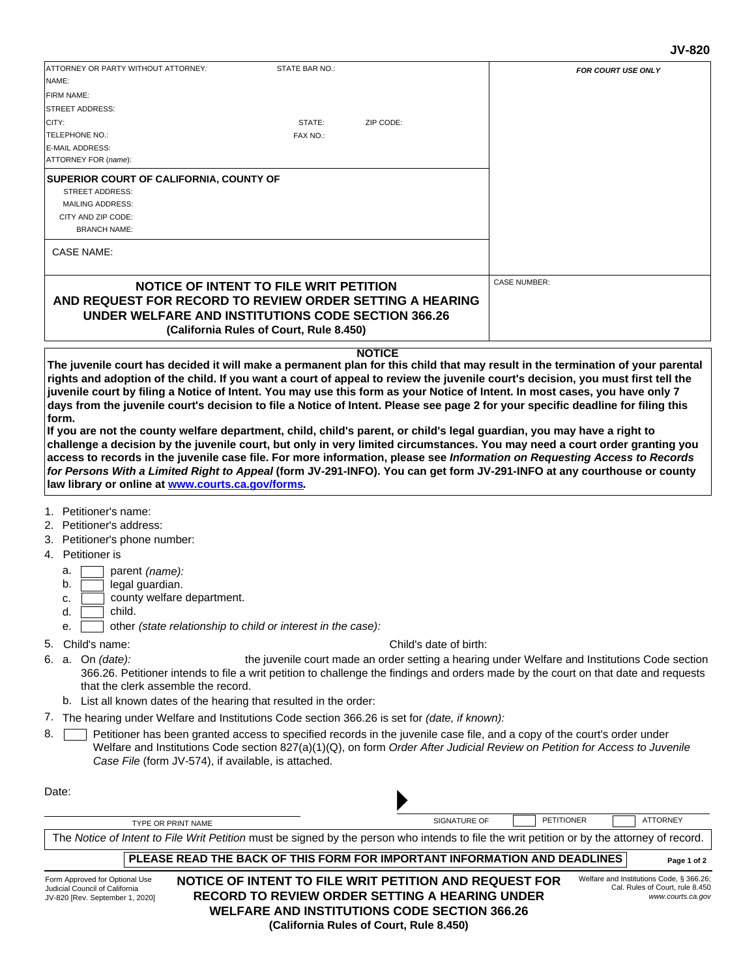# **JV-820**

| ATTORNEY OR PARTY WITHOUT ATTORNEY:<br>NAME:                                                                                                                                                                                              | STATE BAR NO.:                          |                        | <b>FOR COURT USE ONLY</b>                                                                                                                                                                                                                                                                                                                                                                                                                                                                                      |
|-------------------------------------------------------------------------------------------------------------------------------------------------------------------------------------------------------------------------------------------|-----------------------------------------|------------------------|----------------------------------------------------------------------------------------------------------------------------------------------------------------------------------------------------------------------------------------------------------------------------------------------------------------------------------------------------------------------------------------------------------------------------------------------------------------------------------------------------------------|
| FIRM NAME:                                                                                                                                                                                                                                |                                         |                        |                                                                                                                                                                                                                                                                                                                                                                                                                                                                                                                |
| <b>STREET ADDRESS:</b>                                                                                                                                                                                                                    |                                         |                        |                                                                                                                                                                                                                                                                                                                                                                                                                                                                                                                |
| CITY:                                                                                                                                                                                                                                     | STATE:                                  | ZIP CODE:              |                                                                                                                                                                                                                                                                                                                                                                                                                                                                                                                |
| TELEPHONE NO.:                                                                                                                                                                                                                            | FAX NO.:                                |                        |                                                                                                                                                                                                                                                                                                                                                                                                                                                                                                                |
| <b>E-MAIL ADDRESS:</b>                                                                                                                                                                                                                    |                                         |                        |                                                                                                                                                                                                                                                                                                                                                                                                                                                                                                                |
| ATTORNEY FOR (name):                                                                                                                                                                                                                      |                                         |                        |                                                                                                                                                                                                                                                                                                                                                                                                                                                                                                                |
| SUPERIOR COURT OF CALIFORNIA, COUNTY OF<br>STREET ADDRESS:<br><b>MAILING ADDRESS:</b>                                                                                                                                                     |                                         |                        |                                                                                                                                                                                                                                                                                                                                                                                                                                                                                                                |
| CITY AND ZIP CODE:<br><b>BRANCH NAME:</b>                                                                                                                                                                                                 |                                         |                        |                                                                                                                                                                                                                                                                                                                                                                                                                                                                                                                |
| <b>CASE NAME:</b>                                                                                                                                                                                                                         |                                         |                        |                                                                                                                                                                                                                                                                                                                                                                                                                                                                                                                |
| NOTICE OF INTENT TO FILE WRIT PETITION                                                                                                                                                                                                    |                                         |                        | <b>CASE NUMBER:</b>                                                                                                                                                                                                                                                                                                                                                                                                                                                                                            |
| AND REQUEST FOR RECORD TO REVIEW ORDER SETTING A HEARING<br><b>UNDER WELFARE AND INSTITUTIONS CODE SECTION 366.26</b>                                                                                                                     | (California Rules of Court, Rule 8.450) |                        |                                                                                                                                                                                                                                                                                                                                                                                                                                                                                                                |
|                                                                                                                                                                                                                                           |                                         | <b>NOTICE</b>          |                                                                                                                                                                                                                                                                                                                                                                                                                                                                                                                |
|                                                                                                                                                                                                                                           |                                         |                        | days from the juvenile court's decision to file a Notice of Intent. Please see page 2 for your specific deadline for filing this                                                                                                                                                                                                                                                                                                                                                                               |
|                                                                                                                                                                                                                                           |                                         |                        | If you are not the county welfare department, child, child's parent, or child's legal guardian, you may have a right to<br>challenge a decision by the juvenile court, but only in very limited circumstances. You may need a court order granting you<br>access to records in the juvenile case file. For more information, please see Information on Requesting Access to Records<br>for Persons With a Limited Right to Appeal (form JV-291-INFO). You can get form JV-291-INFO at any courthouse or county |
|                                                                                                                                                                                                                                           |                                         |                        |                                                                                                                                                                                                                                                                                                                                                                                                                                                                                                                |
| parent (name):<br>a.<br>legal guardian.<br>b.<br>county welfare department.<br>c.<br>child.<br>d.                                                                                                                                         |                                         |                        |                                                                                                                                                                                                                                                                                                                                                                                                                                                                                                                |
| other (state relationship to child or interest in the case):<br>е.                                                                                                                                                                        |                                         |                        |                                                                                                                                                                                                                                                                                                                                                                                                                                                                                                                |
| Child's name:                                                                                                                                                                                                                             |                                         | Child's date of birth: |                                                                                                                                                                                                                                                                                                                                                                                                                                                                                                                |
| that the clerk assemble the record.                                                                                                                                                                                                       |                                         |                        | 366.26. Petitioner intends to file a writ petition to challenge the findings and orders made by the court on that date and requests                                                                                                                                                                                                                                                                                                                                                                            |
| b. List all known dates of the hearing that resulted in the order:                                                                                                                                                                        |                                         |                        |                                                                                                                                                                                                                                                                                                                                                                                                                                                                                                                |
| The hearing under Welfare and Institutions Code section 366.26 is set for <i>(date, if known):</i><br>Case File (form JV-574), if available, is attached.                                                                                 |                                         |                        | Petitioner has been granted access to specified records in the juvenile case file, and a copy of the court's order under<br>Welfare and Institutions Code section 827(a)(1)(Q), on form Order After Judicial Review on Petition for Access to Juvenile                                                                                                                                                                                                                                                         |
|                                                                                                                                                                                                                                           |                                         |                        |                                                                                                                                                                                                                                                                                                                                                                                                                                                                                                                |
| form.<br>law library or online at www.courts.ca.gov/forms.<br>1. Petitioner's name:<br>2. Petitioner's address:<br>3. Petitioner's phone number:<br>4. Petitioner is<br>5.<br>6. a. On (date):<br>7.<br>8.<br>Date:<br>TYPE OR PRINT NAME |                                         |                        | the juvenile court made an order setting a hearing under Welfare and Institutions Code section<br><b>PETITIONER</b><br><b>ATTORNEY</b><br><b>SIGNATURE OF</b>                                                                                                                                                                                                                                                                                                                                                  |

**Page 1 of 2 PLEASE READ THE BACK OF THIS FORM FOR IMPORTANT INFORMATION AND DEADLINES**

Form Approved for Optional Use Judicial Council of California JV-820 [Rev. September 1, 2020] **NOTICE OF INTENT TO FILE WRIT PETITION AND REQUEST FOR RECORD TO REVIEW ORDER SETTING A HEARING UNDER WELFARE AND INSTITUTIONS CODE SECTION 366.26 (California Rules of Court, Rule 8.450)**

Welfare and Institutions Code, § 366.26; Cal. Rules of Court, rule 8.450 *www.courts.ca.gov*